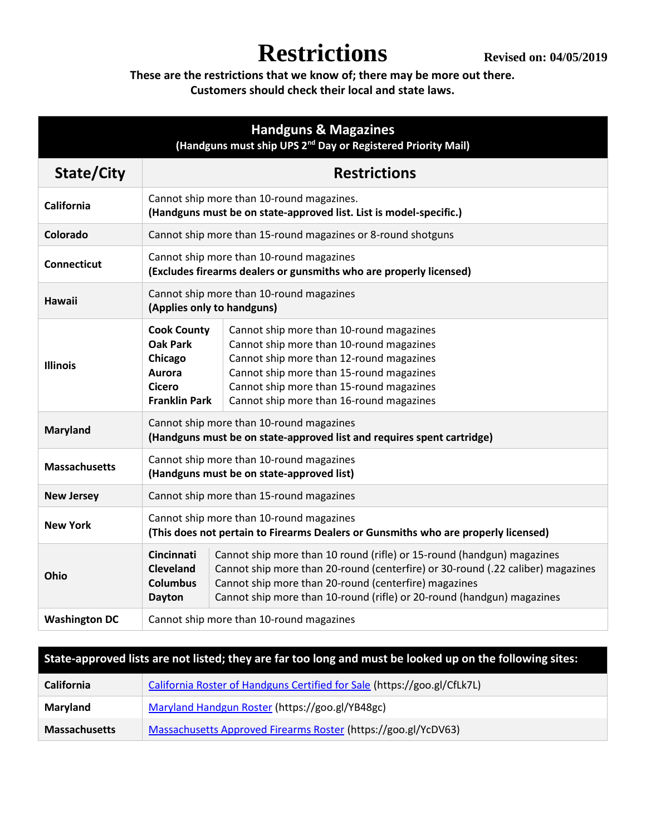**These are the restrictions that we know of; there may be more out there. Customers should check their local and state laws.**

| <b>Handguns &amp; Magazines</b><br>(Handguns must ship UPS 2 <sup>nd</sup> Day or Registered Priority Mail) |                                                                                                                                |                                                                                                                                                                                                                                                                                              |
|-------------------------------------------------------------------------------------------------------------|--------------------------------------------------------------------------------------------------------------------------------|----------------------------------------------------------------------------------------------------------------------------------------------------------------------------------------------------------------------------------------------------------------------------------------------|
| State/City                                                                                                  | <b>Restrictions</b>                                                                                                            |                                                                                                                                                                                                                                                                                              |
| <b>California</b>                                                                                           | Cannot ship more than 10-round magazines.<br>(Handguns must be on state-approved list. List is model-specific.)                |                                                                                                                                                                                                                                                                                              |
| Colorado                                                                                                    | Cannot ship more than 15-round magazines or 8-round shotguns                                                                   |                                                                                                                                                                                                                                                                                              |
| <b>Connecticut</b>                                                                                          | Cannot ship more than 10-round magazines<br>(Excludes firearms dealers or gunsmiths who are properly licensed)                 |                                                                                                                                                                                                                                                                                              |
| Hawaii                                                                                                      | Cannot ship more than 10-round magazines<br>(Applies only to handguns)                                                         |                                                                                                                                                                                                                                                                                              |
| <b>Illinois</b>                                                                                             | <b>Cook County</b><br><b>Oak Park</b><br>Chicago<br>Aurora<br>Cicero<br><b>Franklin Park</b>                                   | Cannot ship more than 10-round magazines<br>Cannot ship more than 10-round magazines<br>Cannot ship more than 12-round magazines<br>Cannot ship more than 15-round magazines<br>Cannot ship more than 15-round magazines<br>Cannot ship more than 16-round magazines                         |
| <b>Maryland</b>                                                                                             | Cannot ship more than 10-round magazines<br>(Handguns must be on state-approved list and requires spent cartridge)             |                                                                                                                                                                                                                                                                                              |
| <b>Massachusetts</b>                                                                                        | Cannot ship more than 10-round magazines<br>(Handguns must be on state-approved list)                                          |                                                                                                                                                                                                                                                                                              |
| <b>New Jersey</b>                                                                                           | Cannot ship more than 15-round magazines                                                                                       |                                                                                                                                                                                                                                                                                              |
| <b>New York</b>                                                                                             | Cannot ship more than 10-round magazines<br>(This does not pertain to Firearms Dealers or Gunsmiths who are properly licensed) |                                                                                                                                                                                                                                                                                              |
| Ohio                                                                                                        | Cincinnati<br><b>Cleveland</b><br><b>Columbus</b><br><b>Dayton</b>                                                             | Cannot ship more than 10 round (rifle) or 15-round (handgun) magazines<br>Cannot ship more than 20-round (centerfire) or 30-round (.22 caliber) magazines<br>Cannot ship more than 20-round (centerfire) magazines<br>Cannot ship more than 10-round (rifle) or 20-round (handgun) magazines |
| <b>Washington DC</b>                                                                                        | Cannot ship more than 10-round magazines                                                                                       |                                                                                                                                                                                                                                                                                              |

| State-approved lists are not listed; they are far too long and must be looked up on the following sites: |                                                                          |  |
|----------------------------------------------------------------------------------------------------------|--------------------------------------------------------------------------|--|
| <b>California</b>                                                                                        | California Roster of Handguns Certified for Sale (https://goo.gl/CfLk7L) |  |
| Maryland                                                                                                 | Maryland Handgun Roster (https://goo.gl/YB48gc)                          |  |
| <b>Massachusetts</b>                                                                                     | Massachusetts Approved Firearms Roster (https://goo.gl/YcDV63)           |  |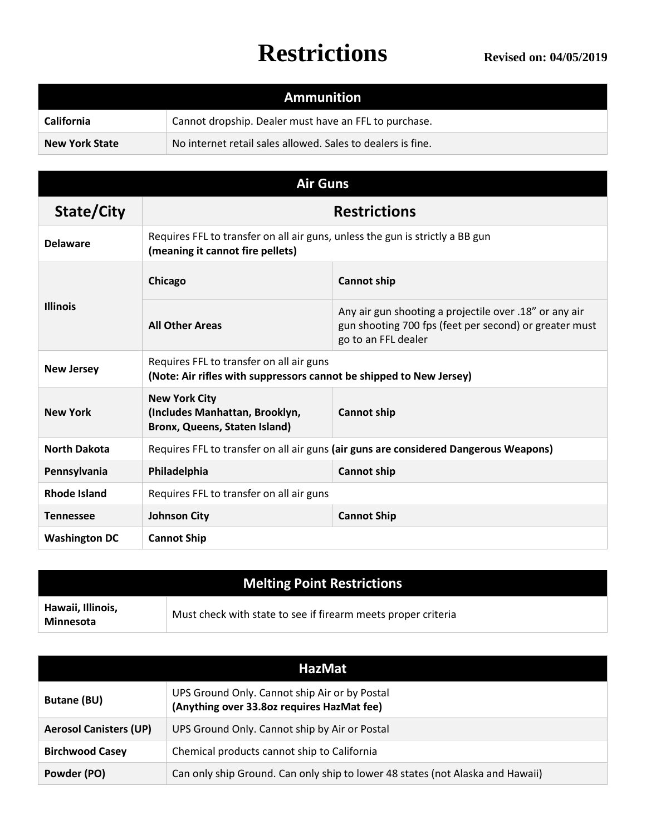| <b>Ammunition</b>     |                                                             |  |
|-----------------------|-------------------------------------------------------------|--|
| <b>California</b>     | Cannot dropship. Dealer must have an FFL to purchase.       |  |
| <b>New York State</b> | No internet retail sales allowed. Sales to dealers is fine. |  |

| <b>Air Guns</b>      |                                                                                                                   |                                                                                                                                         |  |
|----------------------|-------------------------------------------------------------------------------------------------------------------|-----------------------------------------------------------------------------------------------------------------------------------------|--|
| State/City           | <b>Restrictions</b>                                                                                               |                                                                                                                                         |  |
| <b>Delaware</b>      | Requires FFL to transfer on all air guns, unless the gun is strictly a BB gun<br>(meaning it cannot fire pellets) |                                                                                                                                         |  |
| <b>Illinois</b>      | Chicago                                                                                                           | <b>Cannot ship</b>                                                                                                                      |  |
|                      | <b>All Other Areas</b>                                                                                            | Any air gun shooting a projectile over .18" or any air<br>gun shooting 700 fps (feet per second) or greater must<br>go to an FFL dealer |  |
| <b>New Jersey</b>    | Requires FFL to transfer on all air guns<br>(Note: Air rifles with suppressors cannot be shipped to New Jersey)   |                                                                                                                                         |  |
| <b>New York</b>      | <b>New York City</b><br>(Includes Manhattan, Brooklyn,<br>Bronx, Queens, Staten Island)                           | <b>Cannot ship</b>                                                                                                                      |  |
| <b>North Dakota</b>  | Requires FFL to transfer on all air guns (air guns are considered Dangerous Weapons)                              |                                                                                                                                         |  |
| Pennsylvania         | Philadelphia<br><b>Cannot ship</b>                                                                                |                                                                                                                                         |  |
| <b>Rhode Island</b>  | Requires FFL to transfer on all air guns                                                                          |                                                                                                                                         |  |
| <b>Tennessee</b>     | <b>Johnson City</b><br><b>Cannot Ship</b>                                                                         |                                                                                                                                         |  |
| <b>Washington DC</b> | <b>Cannot Ship</b>                                                                                                |                                                                                                                                         |  |

| <b>Melting Point Restrictions</b>     |                                                               |  |
|---------------------------------------|---------------------------------------------------------------|--|
| Hawaii, Illinois,<br><b>Minnesota</b> | Must check with state to see if firearm meets proper criteria |  |

| <b>HazMat</b>                 |                                                                                             |  |
|-------------------------------|---------------------------------------------------------------------------------------------|--|
| <b>Butane (BU)</b>            | UPS Ground Only. Cannot ship Air or by Postal<br>(Anything over 33.80z requires HazMat fee) |  |
| <b>Aerosol Canisters (UP)</b> | UPS Ground Only. Cannot ship by Air or Postal                                               |  |
| <b>Birchwood Casey</b>        | Chemical products cannot ship to California                                                 |  |
| Powder (PO)                   | Can only ship Ground. Can only ship to lower 48 states (not Alaska and Hawaii)              |  |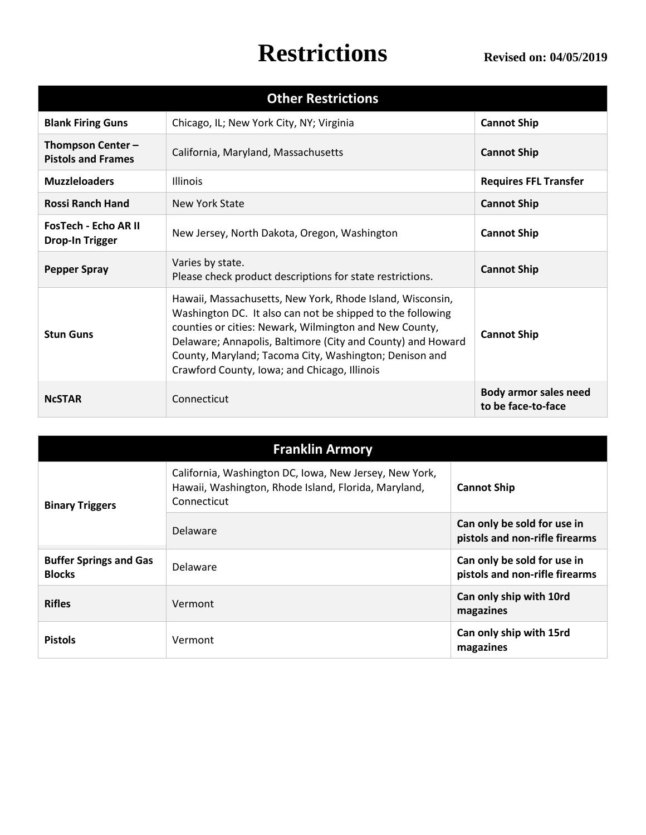| <b>Other Restrictions</b>                             |                                                                                                                                                                                                                                                                                                                                                            |                                                    |
|-------------------------------------------------------|------------------------------------------------------------------------------------------------------------------------------------------------------------------------------------------------------------------------------------------------------------------------------------------------------------------------------------------------------------|----------------------------------------------------|
| <b>Blank Firing Guns</b>                              | Chicago, IL; New York City, NY; Virginia                                                                                                                                                                                                                                                                                                                   | <b>Cannot Ship</b>                                 |
| Thompson Center -<br><b>Pistols and Frames</b>        | California, Maryland, Massachusetts                                                                                                                                                                                                                                                                                                                        | <b>Cannot Ship</b>                                 |
| <b>Muzzleloaders</b>                                  | <b>Illinois</b>                                                                                                                                                                                                                                                                                                                                            | <b>Requires FFL Transfer</b>                       |
| <b>Rossi Ranch Hand</b>                               | New York State                                                                                                                                                                                                                                                                                                                                             | <b>Cannot Ship</b>                                 |
| <b>FosTech - Echo AR II</b><br><b>Drop-In Trigger</b> | New Jersey, North Dakota, Oregon, Washington                                                                                                                                                                                                                                                                                                               | <b>Cannot Ship</b>                                 |
| <b>Pepper Spray</b>                                   | Varies by state.<br>Please check product descriptions for state restrictions.                                                                                                                                                                                                                                                                              | <b>Cannot Ship</b>                                 |
| <b>Stun Guns</b>                                      | Hawaii, Massachusetts, New York, Rhode Island, Wisconsin,<br>Washington DC. It also can not be shipped to the following<br>counties or cities: Newark, Wilmington and New County,<br>Delaware; Annapolis, Baltimore (City and County) and Howard<br>County, Maryland; Tacoma City, Washington; Denison and<br>Crawford County, Iowa; and Chicago, Illinois | <b>Cannot Ship</b>                                 |
| <b>NCSTAR</b>                                         | Connecticut                                                                                                                                                                                                                                                                                                                                                | <b>Body armor sales need</b><br>to be face-to-face |

| <b>Franklin Armory</b>                         |                                                                                                                               |                                                               |
|------------------------------------------------|-------------------------------------------------------------------------------------------------------------------------------|---------------------------------------------------------------|
| <b>Binary Triggers</b>                         | California, Washington DC, Iowa, New Jersey, New York,<br>Hawaii, Washington, Rhode Island, Florida, Maryland,<br>Connecticut | <b>Cannot Ship</b>                                            |
|                                                | Delaware                                                                                                                      | Can only be sold for use in<br>pistols and non-rifle firearms |
| <b>Buffer Springs and Gas</b><br><b>Blocks</b> | Delaware                                                                                                                      | Can only be sold for use in<br>pistols and non-rifle firearms |
| <b>Rifles</b>                                  | Vermont                                                                                                                       | Can only ship with 10rd<br>magazines                          |
| <b>Pistols</b>                                 | Vermont                                                                                                                       | Can only ship with 15rd<br>magazines                          |